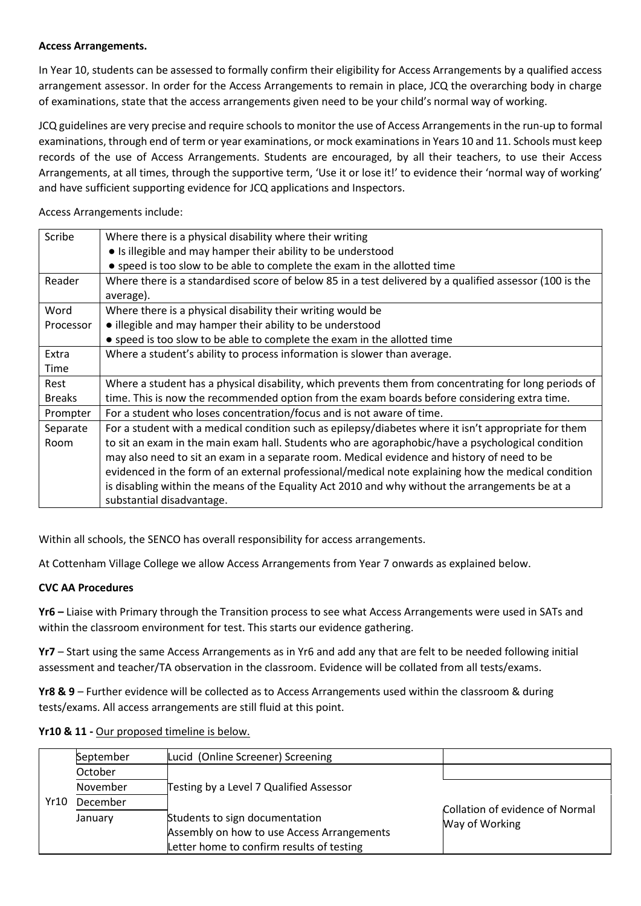## **Access Arrangements.**

In Year 10, students can be assessed to formally confirm their eligibility for Access Arrangements by a qualified access arrangement assessor. In order for the Access Arrangements to remain in place, JCQ the overarching body in charge of examinations, state that the access arrangements given need to be your child's normal way of working.

JCQ guidelines are very precise and require schools to monitor the use of Access Arrangements in the run-up to formal examinations, through end of term or year examinations, or mock examinations in Years 10 and 11. Schools must keep records of the use of Access Arrangements. Students are encouraged, by all their teachers, to use their Access Arrangements, at all times, through the supportive term, 'Use it or lose it!' to evidence their 'normal way of working' and have sufficient supporting evidence for JCQ applications and Inspectors.

Access Arrangements include:

| Scribe        | Where there is a physical disability where their writing                                                |  |  |  |  |
|---------------|---------------------------------------------------------------------------------------------------------|--|--|--|--|
|               | • Is illegible and may hamper their ability to be understood                                            |  |  |  |  |
|               | • speed is too slow to be able to complete the exam in the allotted time                                |  |  |  |  |
| Reader        | Where there is a standardised score of below 85 in a test delivered by a qualified assessor (100 is the |  |  |  |  |
|               | average).                                                                                               |  |  |  |  |
| Word          | Where there is a physical disability their writing would be                                             |  |  |  |  |
| Processor     | • illegible and may hamper their ability to be understood                                               |  |  |  |  |
|               | • speed is too slow to be able to complete the exam in the allotted time                                |  |  |  |  |
| Extra         | Where a student's ability to process information is slower than average.                                |  |  |  |  |
| Time          |                                                                                                         |  |  |  |  |
| Rest          | Where a student has a physical disability, which prevents them from concentrating for long periods of   |  |  |  |  |
| <b>Breaks</b> | time. This is now the recommended option from the exam boards before considering extra time.            |  |  |  |  |
| Prompter      | For a student who loses concentration/focus and is not aware of time.                                   |  |  |  |  |
| Separate      | For a student with a medical condition such as epilepsy/diabetes where it isn't appropriate for them    |  |  |  |  |
| Room          | to sit an exam in the main exam hall. Students who are agoraphobic/have a psychological condition       |  |  |  |  |
|               | may also need to sit an exam in a separate room. Medical evidence and history of need to be             |  |  |  |  |
|               | evidenced in the form of an external professional/medical note explaining how the medical condition     |  |  |  |  |
|               | is disabling within the means of the Equality Act 2010 and why without the arrangements be at a         |  |  |  |  |
|               | substantial disadvantage.                                                                               |  |  |  |  |

Within all schools, the SENCO has overall responsibility for access arrangements.

At Cottenham Village College we allow Access Arrangements from Year 7 onwards as explained below.

## **CVC AA Procedures**

**Yr6 –** Liaise with Primary through the Transition process to see what Access Arrangements were used in SATs and within the classroom environment for test. This starts our evidence gathering.

**Yr7** – Start using the same Access Arrangements as in Yr6 and add any that are felt to be needed following initial assessment and teacher/TA observation in the classroom. Evidence will be collated from all tests/exams.

**Yr8 & 9** – Further evidence will be collected as to Access Arrangements used within the classroom & during tests/exams. All access arrangements are still fluid at this point.

| Yr10 & 11 - Our proposed timeline is below. |  |  |  |  |  |  |
|---------------------------------------------|--|--|--|--|--|--|
|---------------------------------------------|--|--|--|--|--|--|

|      | September | Lucid (Online Screener) Screening                                                                                         |                                 |
|------|-----------|---------------------------------------------------------------------------------------------------------------------------|---------------------------------|
| Yr10 | October   |                                                                                                                           |                                 |
|      | November  | Testing by a Level 7 Qualified Assessor                                                                                   |                                 |
|      | December  | Students to sign documentation<br>Assembly on how to use Access Arrangements<br>Letter home to confirm results of testing | Collation of evidence of Normal |
|      | January   |                                                                                                                           | Way of Working                  |